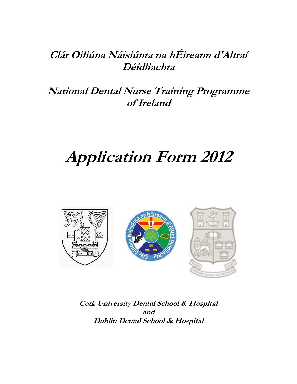## **Clár Oiliúna Náisiúnta na hÉireann d'Altraí Déidliachta**

## **National Dental Nurse Training Programme of Ireland**

# **Application Form 2012**



**Cork University Dental School & Hospital and Dublin Dental School & Hospital**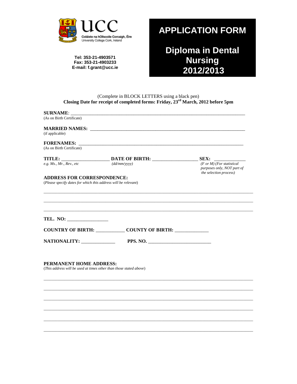

Tel: 353-21-4903571 Fax: 353-21-4903233 E-mail: f.grant@ucc.ie

## **APPLICATION FORM**

Diploma in Dental<br>Nursing<br>2012/2013

# (Complete in BLOCK LETTERS using a black pen)<br>Closing Date for receipt of completed forms: Friday,  $23<sup>rd</sup>$  March, 2012 before 5pm

| <b>SURNAME:</b>                                                                                      |                                           |                                                                                              |
|------------------------------------------------------------------------------------------------------|-------------------------------------------|----------------------------------------------------------------------------------------------|
| (As on Birth Certificate)                                                                            |                                           |                                                                                              |
| (if applicable)                                                                                      |                                           |                                                                                              |
| <b>FORENAMES:</b>                                                                                    |                                           |                                                                                              |
| (As on Birth Certificate)                                                                            |                                           |                                                                                              |
|                                                                                                      |                                           | SEX:                                                                                         |
| e.g. Ms., Mr., Rev., etc                                                                             | $(dd/mm/$ yyyy)                           | $(F \text{ or } M)$ (For statistical<br>purposes only, NOT part of<br>the selection process) |
| <b>ADDRESS FOR CORRESPONDENCE:</b><br>(Please specify dates for which this address will be relevant) |                                           |                                                                                              |
|                                                                                                      |                                           |                                                                                              |
|                                                                                                      |                                           |                                                                                              |
|                                                                                                      | <b>COUNTRY OF BIRTH: COUNTY OF BIRTH:</b> |                                                                                              |
| NATIONALITY: _____________                                                                           | PPS. NO.                                  |                                                                                              |
| PERMANENT HOME ADDRESS:<br>(This address will be used at times other than those stated above)        |                                           |                                                                                              |
|                                                                                                      |                                           |                                                                                              |
|                                                                                                      |                                           |                                                                                              |
|                                                                                                      |                                           |                                                                                              |
|                                                                                                      |                                           |                                                                                              |
|                                                                                                      |                                           |                                                                                              |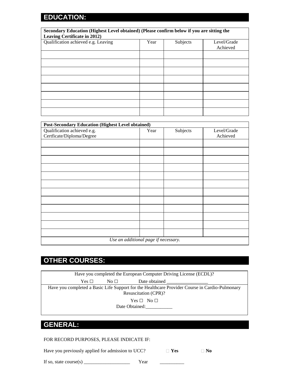#### **EDUCATION:**

| Secondary Education (Highest Level obtained) (Please confirm below if you are sitting the<br><b>Leaving Certificate in 2012)</b> |      |          |                         |
|----------------------------------------------------------------------------------------------------------------------------------|------|----------|-------------------------|
| Qualification achieved e.g. Leaving                                                                                              | Year | Subjects | Level/Grade<br>Achieved |
|                                                                                                                                  |      |          |                         |
|                                                                                                                                  |      |          |                         |
|                                                                                                                                  |      |          |                         |
|                                                                                                                                  |      |          |                         |
|                                                                                                                                  |      |          |                         |

| <b>Post-Secondary Education (Highest Level obtained)</b> |      |          |             |
|----------------------------------------------------------|------|----------|-------------|
| Qualification achieved e.g.                              | Year | Subjects | Level/Grade |
| Certficate/Diploma/Degree                                |      |          | Achieved    |
|                                                          |      |          |             |
|                                                          |      |          |             |
|                                                          |      |          |             |
|                                                          |      |          |             |
|                                                          |      |          |             |
|                                                          |      |          |             |
|                                                          |      |          |             |
|                                                          |      |          |             |
|                                                          |      |          |             |
|                                                          |      |          |             |
|                                                          |      |          |             |
|                                                          |      |          |             |
| Use an additional page if necessary.                     |      |          |             |

### **OTHER COURSES:**

#### **GENERAL:**

FOR RECORD PURPOSES, PLEASE INDICATE IF:

Have you previously applied for admission to UCC? **No No** 

If so, state course(s)  $\frac{1}{\sqrt{2\pi}}$  Year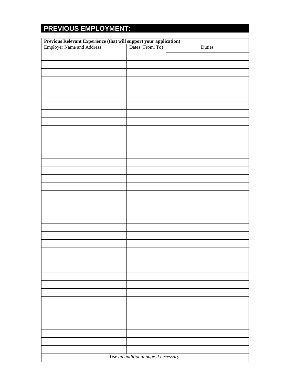## **PREVIOUS EMPLOYMENT:**

| <b>Previous Relevant Experience (that will support your application)</b><br>Employer Name and Address<br>and Dates (From, To) |                                      | Duties |
|-------------------------------------------------------------------------------------------------------------------------------|--------------------------------------|--------|
|                                                                                                                               |                                      |        |
|                                                                                                                               |                                      |        |
|                                                                                                                               |                                      |        |
|                                                                                                                               |                                      |        |
|                                                                                                                               |                                      |        |
|                                                                                                                               |                                      |        |
|                                                                                                                               |                                      |        |
|                                                                                                                               |                                      |        |
|                                                                                                                               |                                      |        |
|                                                                                                                               |                                      |        |
|                                                                                                                               |                                      |        |
|                                                                                                                               |                                      |        |
|                                                                                                                               |                                      |        |
|                                                                                                                               |                                      |        |
|                                                                                                                               |                                      |        |
|                                                                                                                               |                                      |        |
|                                                                                                                               |                                      |        |
|                                                                                                                               |                                      |        |
|                                                                                                                               |                                      |        |
|                                                                                                                               |                                      |        |
|                                                                                                                               |                                      |        |
|                                                                                                                               |                                      |        |
|                                                                                                                               |                                      |        |
|                                                                                                                               |                                      |        |
|                                                                                                                               |                                      |        |
|                                                                                                                               |                                      |        |
|                                                                                                                               |                                      |        |
|                                                                                                                               |                                      |        |
|                                                                                                                               |                                      |        |
|                                                                                                                               |                                      |        |
|                                                                                                                               |                                      |        |
|                                                                                                                               |                                      |        |
|                                                                                                                               |                                      |        |
|                                                                                                                               |                                      |        |
|                                                                                                                               |                                      |        |
|                                                                                                                               |                                      |        |
|                                                                                                                               |                                      |        |
|                                                                                                                               | Use an additional page if necessary. |        |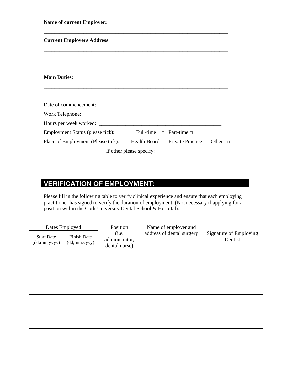| <b>Name of current Employer:</b>   |                                                                                                                      |
|------------------------------------|----------------------------------------------------------------------------------------------------------------------|
| <b>Current Employers Address:</b>  |                                                                                                                      |
|                                    |                                                                                                                      |
|                                    | <u> 1989 - Jan James James James James James James James James James James James James James James James James J</u> |
| <b>Main Duties:</b>                |                                                                                                                      |
|                                    |                                                                                                                      |
|                                    |                                                                                                                      |
|                                    |                                                                                                                      |
|                                    |                                                                                                                      |
| Employment Status (please tick):   | Full-time $\Box$ Part-time $\Box$                                                                                    |
| Place of Employment (Please tick): | <b>Example 1</b> Health Board $\Box$ Private Practice $\Box$ Other $\Box$                                            |
|                                    |                                                                                                                      |

#### **VERIFICATION OF EMPLOYMENT:**

Please fill in the following table to verify clinical experience and ensure that each employing practitioner has signed to verify the duration of employment. (Not necessary if applying for a position within the Cork University Dental School & Hospital).

|                                   | Dates Employed              | Position                                 | Name of employer and      |                                   |
|-----------------------------------|-----------------------------|------------------------------------------|---------------------------|-----------------------------------|
| <b>Start Date</b><br>(dd,mm,yyyy) | Finish Date<br>(dd,mm,yyyy) | (i.e.<br>administrator,<br>dental nurse) | address of dental surgery | Signature of Employing<br>Dentist |
|                                   |                             |                                          |                           |                                   |
|                                   |                             |                                          |                           |                                   |
|                                   |                             |                                          |                           |                                   |
|                                   |                             |                                          |                           |                                   |
|                                   |                             |                                          |                           |                                   |
|                                   |                             |                                          |                           |                                   |
|                                   |                             |                                          |                           |                                   |
|                                   |                             |                                          |                           |                                   |
|                                   |                             |                                          |                           |                                   |
|                                   |                             |                                          |                           |                                   |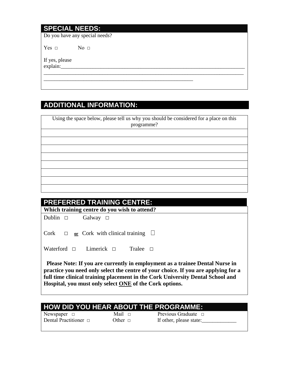#### **SPECIAL NEEDS:**

Do you have any special needs?

Yes  $\Box$  No  $\Box$ 

If yes, please explain:\_\_\_\_\_\_\_\_\_\_\_\_\_\_\_\_\_\_\_\_\_\_\_\_\_\_\_\_\_\_\_\_\_\_\_\_\_\_\_\_\_\_\_\_\_\_\_\_\_\_\_\_\_\_\_\_\_\_\_\_\_\_\_\_\_\_\_\_\_

#### **ADDITIONAL INFORMATION:**

| Using the space below, please tell us why you should be considered for a place on this<br>programme? |
|------------------------------------------------------------------------------------------------------|
|                                                                                                      |
|                                                                                                      |
|                                                                                                      |
|                                                                                                      |
|                                                                                                      |
|                                                                                                      |
|                                                                                                      |
|                                                                                                      |

\_\_\_\_\_\_\_\_\_\_\_\_\_\_\_\_\_\_\_\_\_\_\_\_\_\_\_\_\_\_\_\_\_\_\_\_\_\_\_\_\_\_\_\_\_\_\_\_\_\_\_\_\_\_\_\_\_\_\_\_\_\_\_\_\_\_\_\_\_\_\_\_\_\_\_

\_\_\_\_\_\_\_\_\_\_\_\_\_\_\_\_\_\_\_\_\_\_\_\_\_\_\_\_\_\_\_\_\_\_\_\_\_\_\_\_\_\_\_\_\_\_\_\_\_\_\_\_\_\_\_\_

| <b>PREFERRED TRAINING CENTRE:</b>                                                                                                                                                                                                                                                                               |  |  |
|-----------------------------------------------------------------------------------------------------------------------------------------------------------------------------------------------------------------------------------------------------------------------------------------------------------------|--|--|
| Which training centre do you wish to attend?                                                                                                                                                                                                                                                                    |  |  |
| Dublin $\Box$<br>Galway $\Box$                                                                                                                                                                                                                                                                                  |  |  |
| Cork<br>$\Box$ or Cork with clinical training $\Box$                                                                                                                                                                                                                                                            |  |  |
| Waterford $\Box$<br>Limerick $\Box$<br>Tralee $\Box$                                                                                                                                                                                                                                                            |  |  |
| Please Note: If you are currently in employment as a trainee Dental Nurse in<br>practice you need only select the centre of your choice. If you are applying for a<br>full time clinical training placement in the Cork University Dental School and<br>Hospital, you must only select ONE of the Cork options. |  |  |

#### **HOW DID YOU HEAR ABOUT THE PROGRAMME:**

Newspaper □ Mail □ Previous Graduate □ Dental Practitioner □ Other □ If other, please state:\_\_\_\_\_\_\_\_\_\_\_\_\_\_\_\_\_\_\_\_\_\_\_\_\_\_\_